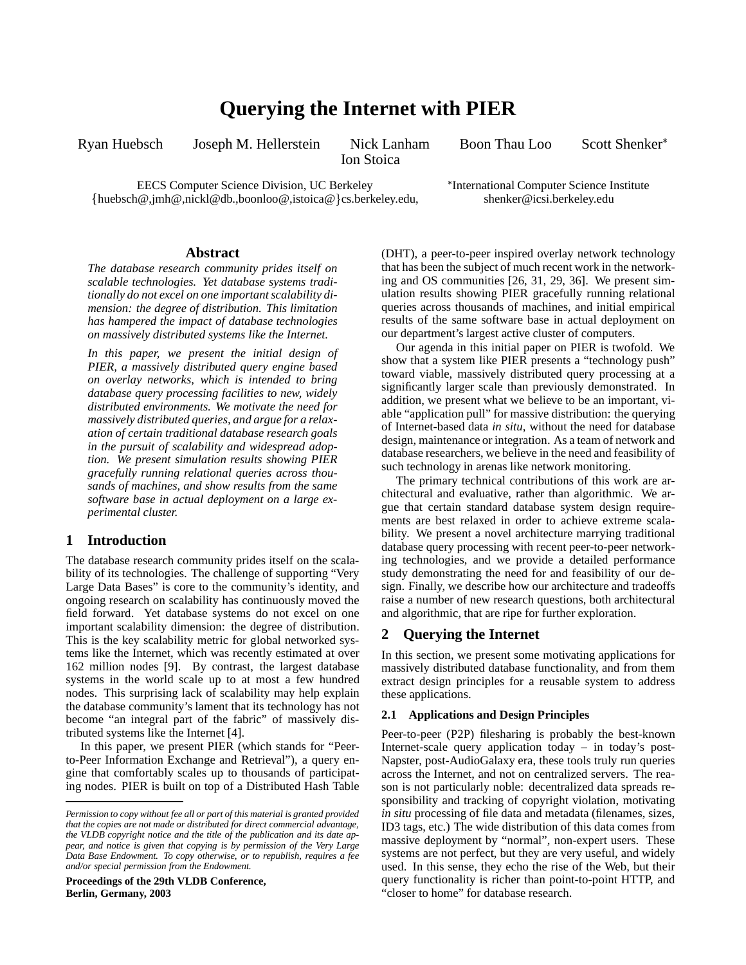# **Querying the Internet with PIER**

Ryan Huebsch Joseph M. Hellerstein Nick Lanham Boon Thau Loo Scott Shenker

Ion Stoica

EECS Computer Science Division, UC Berkeley {huebsch@,jmh@,nickl@db.,boonloo@,istoica@}cs.berkeley.edu,  International Computer Science Institute shenker@icsi.berkeley.edu

### **Abstract**

*The database research community prides itself on scalable technologies. Yet database systems traditionally do not excel on one importantscalability dimension: the degree of distribution. This limitation has hampered the impact of database technologies on massively distributed systems like the Internet.*

*In this paper, we present the initial design of PIER, a massively distributed query engine based on overlay networks, which is intended to bring database query processing facilities to new, widely distributed environments. We motivate the need for massively distributed queries, and argue for a relaxation of certain traditional database research goals in the pursuit of scalability and widespread adoption. We present simulation results showing PIER gracefully running relational queries across thousands of machines, and show results from the same software base in actual deployment on a large experimental cluster.*

# **1 Introduction**

The database research community prides itself on the scalability of its technologies. The challenge of supporting "Very Large Data Bases" is core to the community's identity, and ongoing research on scalability has continuously moved the field forward. Yet database systems do not excel on one important scalability dimension: the degree of distribution. This is the key scalability metric for global networked systems like the Internet, which was recently estimated at over 162 million nodes [9]. By contrast, the largest database systems in the world scale up to at most a few hundred nodes. This surprising lack of scalability may help explain the database community's lament that its technology has not become "an integral part of the fabric" of massively distributed systems like the Internet [4].

In this paper, we present PIER (which stands for "Peerto-Peer Information Exchange and Retrieval"), a query engine that comfortably scales up to thousands of participating nodes. PIER is built on top of a Distributed Hash Table

**Proceedings of the 29th VLDB Conference, Berlin, Germany, 2003**

(DHT), a peer-to-peer inspired overlay network technology that has been the subject of much recent work in the networking and OS communities [26, 31, 29, 36]. We present simulation results showing PIER gracefully running relational queries across thousands of machines, and initial empirical results of the same software base in actual deployment on our department's largest active cluster of computers.

Our agenda in this initial paper on PIER is twofold. We show that a system like PIER presents a "technology push" toward viable, massively distributed query processing at a significantly larger scale than previously demonstrated. In addition, we present what we believe to be an important, viable "application pull" for massive distribution: the querying of Internet-based data *in situ*, without the need for database design, maintenance or integration. As a team of network and database researchers, we believe in the need and feasibility of such technology in arenas like network monitoring.

The primary technical contributions of this work are architectural and evaluative, rather than algorithmic. We argue that certain standard database system design requirements are best relaxed in order to achieve extreme scalability. We present a novel architecture marrying traditional database query processing with recent peer-to-peer networking technologies, and we provide a detailed performance study demonstrating the need for and feasibility of our design. Finally, we describe how our architecture and tradeoffs raise a number of new research questions, both architectural and algorithmic, that are ripe for further exploration.

# **2 Querying the Internet**

In this section, we present some motivating applications for massively distributed database functionality, and from them extract design principles for a reusable system to address these applications.

### **2.1 Applications and Design Principles**

Peer-to-peer (P2P) filesharing is probably the best-known Internet-scale query application today – in today's post-Napster, post-AudioGalaxy era, these tools truly run queries across the Internet, and not on centralized servers. The reason is not particularly noble: decentralized data spreads responsibility and tracking of copyright violation, motivating *in situ* processing of file data and metadata (filenames, sizes, ID3 tags, etc.) The wide distribution of this data comes from massive deployment by "normal", non-expert users. These systems are not perfect, but they are very useful, and widely used. In this sense, they echo the rise of the Web, but their query functionality is richer than point-to-point HTTP, and "closer to home" for database research.

*Permission to copy without fee all or part of this material is granted provided that the copies are not made or distributed for direct commercial advantage, the VLDB copyright notice and the title of the publication and its date appear, and notice is given that copying is by permission of the Very Large Data Base Endowment. To copy otherwise, or to republish, requires a fee and/or special permission from the Endowment.*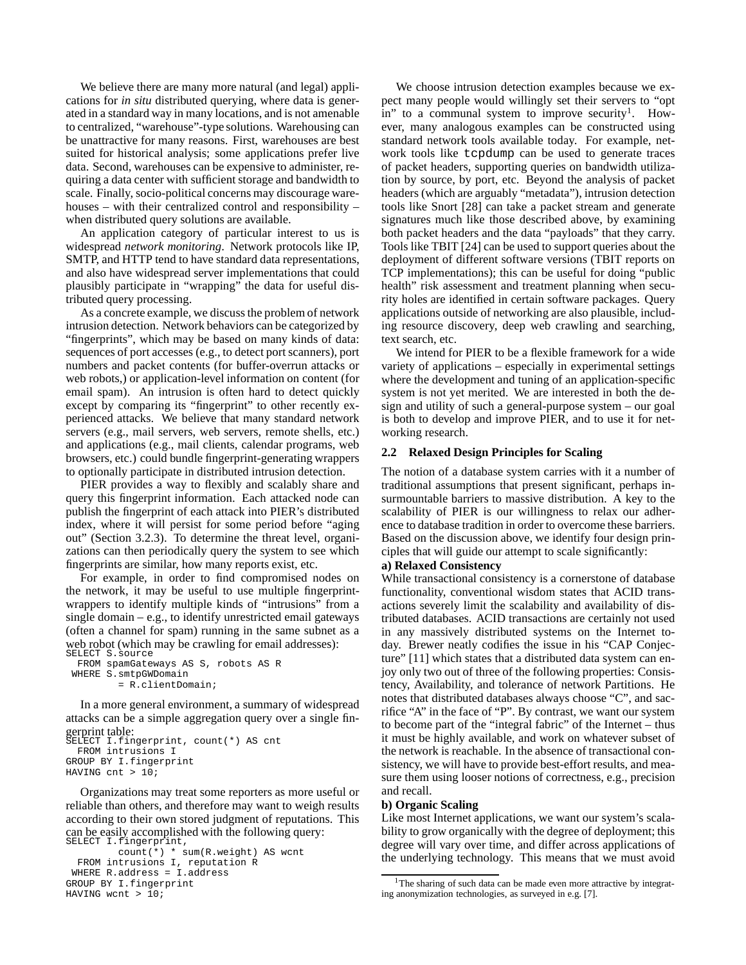We believe there are many more natural (and legal) applications for *in situ* distributed querying, where data is generated in a standard way in many locations, and is not amenable to centralized, "warehouse"-type solutions. Warehousing can be unattractive for many reasons. First, warehouses are best suited for historical analysis; some applications prefer live data. Second, warehouses can be expensive to administer, requiring a data center with sufficient storage and bandwidth to scale. Finally, socio-political concerns may discourage warehouses – with their centralized control and responsibility – when distributed query solutions are available.

An application category of particular interest to us is widespread *network monitoring*. Network protocols like IP, SMTP, and HTTP tend to have standard data representations, and also have widespread server implementations that could plausibly participate in "wrapping" the data for useful distributed query processing.

As a concrete example, we discuss the problem of network intrusion detection. Network behaviors can be categorized by "fingerprints", which may be based on many kinds of data: sequences of port accesses (e.g., to detect port scanners), port numbers and packet contents (for buffer-overrun attacks or web robots,) or application-level information on content (for email spam). An intrusion is often hard to detect quickly except by comparing its "fingerprint" to other recently experienced attacks. We believe that many standard network servers (e.g., mail servers, web servers, remote shells, etc.) and applications (e.g., mail clients, calendar programs, web browsers, etc.) could bundle fingerprint-generating wrappers to optionally participate in distributed intrusion detection.

PIER provides a way to flexibly and scalably share and query this fingerprint information. Each attacked node can publish the fingerprint of each attack into PIER's distributed index, where it will persist for some period before "aging out" (Section 3.2.3). To determine the threat level, organizations can then periodically query the system to see which fingerprints are similar, how many reports exist, etc.

For example, in order to find compromised nodes on the network, it may be useful to use multiple fingerprintwrappers to identify multiple kinds of "intrusions" from a single domain – e.g., to identify unrestricted email gateways (often a channel for spam) running in the same subnet as a web robot (which may be crawling for email addresses): SELECT S. source

```
FROM spamGateways AS S, robots AS R
WHERE S.smtpGWDomain
        = R.clientDomain;
```
In a more general environment, a summary of widespread attacks can be a simple aggregation query over a single fingerprint table:

```
ELECT I.fingerprint, count(*) AS cnt
  FROM intrusions I
GROUP BY I.fingerprint
HAVING cnt > 10;
```
Organizations may treat some reporters as more useful or reliable than others, and therefore may want to weigh results according to their own stored judgment of reputations. This can be easily accomplished with the following query: SELECT I.fingerprint,

```
count(*) * sum(R.weight) AS wcnt
 FROM intrusions I, reputation R
 WHERE R.address = I.address
GROUP BY I.fingerprint
HAVING wcnt > 10;
```
We choose intrusion detection examples because we expect many people would willingly set their servers to "opt in" to a communal system to improve security<sup>1</sup>. However, many analogous examples can be constructed using standard network tools available today. For example, network tools like tcpdump can be used to generate traces of packet headers, supporting queries on bandwidth utilization by source, by port, etc. Beyond the analysis of packet headers (which are arguably "metadata"), intrusion detection tools like Snort [28] can take a packet stream and generate signatures much like those described above, by examining both packet headers and the data "payloads" that they carry. Tools like TBIT [24] can be used to support queries about the deployment of different software versions (TBIT reports on TCP implementations); this can be useful for doing "public health" risk assessment and treatment planning when security holes are identified in certain software packages. Query applications outside of networking are also plausible, including resource discovery, deep web crawling and searching, text search, etc.

We intend for PIER to be a flexible framework for a wide variety of applications – especially in experimental settings where the development and tuning of an application-specific system is not yet merited. We are interested in both the design and utility of such a general-purpose system – our goal is both to develop and improve PIER, and to use it for networking research.

### **2.2 Relaxed Design Principles for Scaling**

The notion of a database system carries with it a number of traditional assumptions that present significant, perhaps insurmountable barriers to massive distribution. A key to the scalability of PIER is our willingness to relax our adherence to database tradition in order to overcome these barriers. Based on the discussion above, we identify four design principles that will guide our attempt to scale significantly:

### **a) Relaxed Consistency**

While transactional consistency is a cornerstone of database functionality, conventional wisdom states that ACID transactions severely limit the scalability and availability of distributed databases. ACID transactions are certainly not used in any massively distributed systems on the Internet today. Brewer neatly codifies the issue in his "CAP Conjecture" [11] which states that a distributed data system can enjoy only two out of three of the following properties: Consistency, Availability, and tolerance of network Partitions. He notes that distributed databases always choose "C", and sacrifice "A" in the face of "P". By contrast, we want our system to become part of the "integral fabric" of the Internet – thus it must be highly available, and work on whatever subset of the network is reachable. In the absence of transactional consistency, we will have to provide best-effort results, and measure them using looser notions of correctness, e.g., precision and recall.

# **b) Organic Scaling**

Like most Internet applications, we want our system's scalability to grow organically with the degree of deployment; this degree will vary over time, and differ across applications of the underlying technology. This means that we must avoid

<sup>&</sup>lt;sup>1</sup>The sharing of such data can be made even more attractive by integrating anonymization technologies, as surveyed in e.g. [7].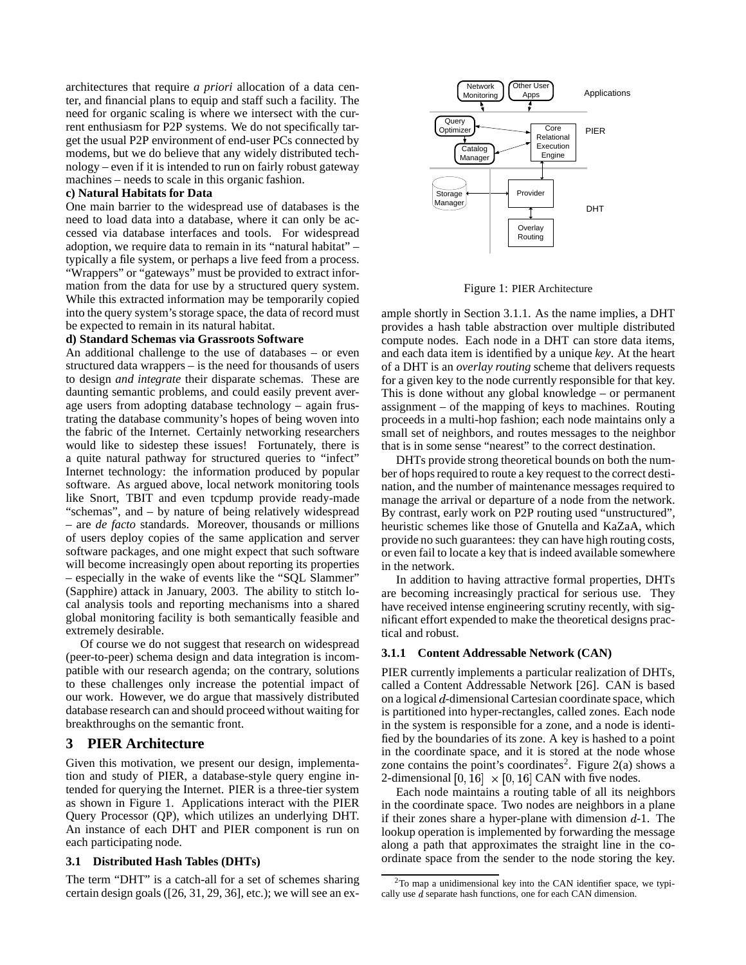architectures that require *a priori* allocation of a data center, and financial plans to equip and staff such a facility. The need for organic scaling is where we intersect with the current enthusiasm for P2P systems. We do not specifically target the usual P2P environment of end-user PCs connected by modems, but we do believe that any widely distributed technology – even if it is intended to run on fairly robust gateway machines – needs to scale in this organic fashion.

### **c) Natural Habitats for Data**

One main barrier to the widespread use of databases is the need to load data into a database, where it can only be accessed via database interfaces and tools. For widespread adoption, we require data to remain in its "natural habitat" – typically a file system, or perhaps a live feed from a process. "Wrappers" or "gateways" must be provided to extract information from the data for use by a structured query system. While this extracted information may be temporarily copied into the query system's storage space, the data of record must be expected to remain in its natural habitat.

### **d) Standard Schemas via Grassroots Software**

An additional challenge to the use of databases – or even structured data wrappers – is the need for thousands of users to design *and integrate* their disparate schemas. These are daunting semantic problems, and could easily prevent average users from adopting database technology – again frustrating the database community's hopes of being woven into the fabric of the Internet. Certainly networking researchers would like to sidestep these issues! Fortunately, there is a quite natural pathway for structured queries to "infect" Internet technology: the information produced by popular software. As argued above, local network monitoring tools like Snort, TBIT and even tcpdump provide ready-made "schemas", and – by nature of being relatively widespread – are *de facto* standards. Moreover, thousands or millions of users deploy copies of the same application and server software packages, and one might expect that such software will become increasingly open about reporting its properties – especially in the wake of events like the "SQL Slammer" (Sapphire) attack in January, 2003. The ability to stitch local analysis tools and reporting mechanisms into a shared global monitoring facility is both semantically feasible and extremely desirable.

Of course we do not suggest that research on widespread (peer-to-peer) schema design and data integration is incompatible with our research agenda; on the contrary, solutions to these challenges only increase the potential impact of our work. However, we do argue that massively distributed database research can and should proceed without waiting for breakthroughs on the semantic front.

# **3 PIER Architecture**

Given this motivation, we present our design, implementation and study of PIER, a database-style query engine intended for querying the Internet. PIER is a three-tier system as shown in Figure 1. Applications interact with the PIER Query Processor (QP), which utilizes an underlying DHT. An instance of each DHT and PIER component is run on each participating node.

### **3.1 Distributed Hash Tables (DHTs)**

The term "DHT" is a catch-all for a set of schemes sharing certain design goals ([26, 31, 29, 36], etc.); we will see an ex-



Figure 1: PIER Architecture

ample shortly in Section 3.1.1. As the name implies, a DHT provides a hash table abstraction over multiple distributed compute nodes. Each node in a DHT can store data items, and each data item is identified by a unique *key*. At the heart of a DHT is an *overlay routing* scheme that delivers requests for a given key to the node currently responsible for that key. This is done without any global knowledge – or permanent assignment – of the mapping of keys to machines. Routing proceeds in a multi-hop fashion; each node maintains only a small set of neighbors, and routes messages to the neighbor that is in some sense "nearest" to the correct destination.

DHTs provide strong theoretical bounds on both the number of hops required to route a key request to the correct destination, and the number of maintenance messages required to manage the arrival or departure of a node from the network. By contrast, early work on P2P routing used "unstructured", heuristic schemes like those of Gnutella and KaZaA, which provide no such guarantees: they can have high routing costs, or even fail to locate a key that is indeed available somewhere in the network.

In addition to having attractive formal properties, DHTs are becoming increasingly practical for serious use. They have received intense engineering scrutiny recently, with significant effort expended to make the theoretical designs practical and robust.

### **3.1.1 Content Addressable Network (CAN)**

PIER currently implements a particular realization of DHTs, called a Content Addressable Network [26]. CAN is based on a logical  $d$ -dimensional Cartesian coordinate space, which is partitioned into hyper-rectangles, called zones. Each node in the system is responsible for a zone, and a node is identified by the boundaries of its zone. A key is hashed to a point in the coordinate space, and it is stored at the node whose zone contains the point's coordinates<sup>2</sup>. Figure 2(a) shows a 2-dimensional  $[0, 16] \times [0, 16]$  CAN with five nodes.

Each node maintains a routing table of all its neighbors in the coordinate space. Two nodes are neighbors in a plane if their zones share a hyper-plane with dimension  $d-1$ . The lookup operation is implemented by forwarding the message along a path that approximates the straight line in the coordinate space from the sender to the node storing the key.

 $2$ To map a unidimensional key into the CAN identifier space, we typically use  $d$  separate hash functions, one for each CAN dimension.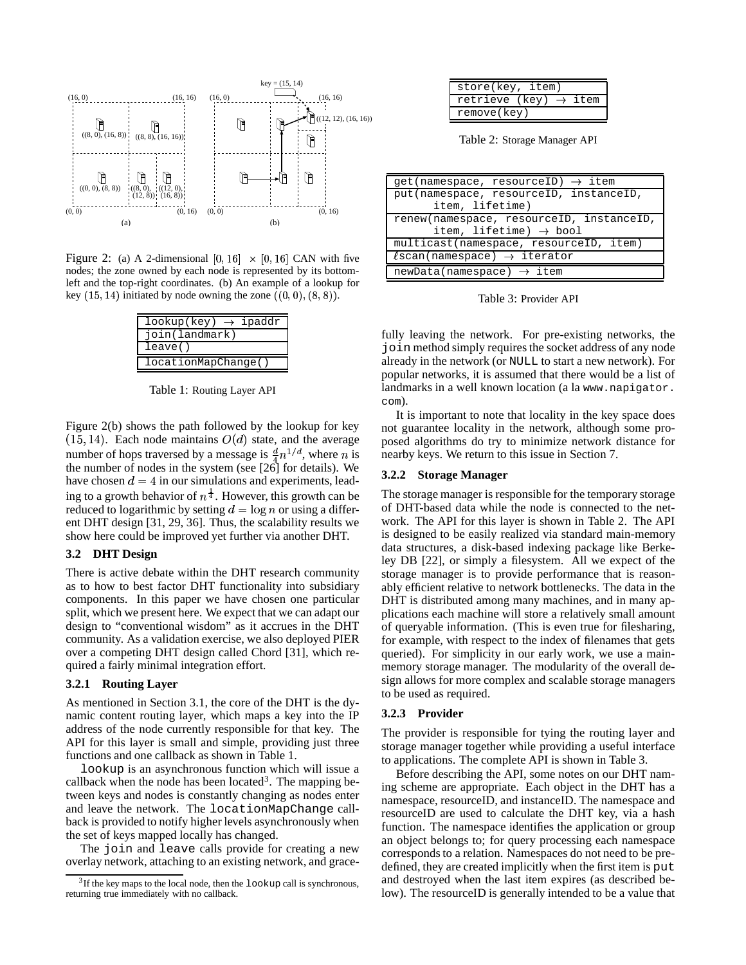

Figure 2: (a) A 2-dimensional  $[0, 16] \times [0, 16]$  CAN with five nodes; the zone owned by each node is represented by its bottomleft and the top-right coordinates. (b) An example of a lookup for key  $(15, 14)$  initiated by node owning the zone  $((0, 0), (8, 8))$ .

| $lookup(key) \rightarrow ipaddr$ |  |
|----------------------------------|--|
| join(landmark)                   |  |
| leave()                          |  |
| locationMapChange()              |  |
|                                  |  |

Table 1: Routing Layer API

Figure 2(b) shows the path followed by the lookup for key  $(15, 14)$ . Each node maintains  $O(d)$  state, and the average number of hops traversed by a message is  $\frac{d}{4} n^{1/d}$ , where *n* is the number of nodes in the system (see  $[2\overrightarrow{6}]$  for details). We have chosen  $d = 4$  in our simulations and experiments, leading to a growth behavior of  $n^{\frac{1}{4}}$ . However, this growth can be reduced to logarithmic by setting  $d = \log n$  or using a different DHT design [31, 29, 36]. Thus, the scalability results we show here could be improved yet further via another DHT.

### **3.2 DHT Design**

There is active debate within the DHT research community as to how to best factor DHT functionality into subsidiary components. In this paper we have chosen one particular split, which we present here. We expect that we can adapt our design to "conventional wisdom" as it accrues in the DHT community. As a validation exercise, we also deployed PIER over a competing DHT design called Chord [31], which required a fairly minimal integration effort.

### **3.2.1 Routing Layer**

As mentioned in Section 3.1, the core of the DHT is the dynamic content routing layer, which maps a key into the IP address of the node currently responsible for that key. The API for this layer is small and simple, providing just three functions and one callback as shown in Table 1.

lookup is an asynchronous function which will issue a callback when the node has been located<sup>3</sup>. The mapping between keys and nodes is constantly changing as nodes enter and leave the network. The locationMapChange callback is provided to notify higher levels asynchronously when the set of keys mapped locally has changed.

The join and leave calls provide for creating a new overlay network, attaching to an existing network, and grace-

| store(key, item)                  |  |  |  |
|-----------------------------------|--|--|--|
| retrieve (key) $\rightarrow$ item |  |  |  |
| remove(key)                       |  |  |  |

Table 2: Storage Manager API

| $get(namespace, resourceID) \rightarrow item$ |  |  |  |  |
|-----------------------------------------------|--|--|--|--|
| put (namespace, resourceID, instanceID,       |  |  |  |  |
| item, lifetime)                               |  |  |  |  |
| renew(namespace, resourceID, instanceID,      |  |  |  |  |
| item, lifetime) $\rightarrow$ bool            |  |  |  |  |
| multicast(namespace, resourceID, item)        |  |  |  |  |
| $\ell$ scan(namespace) $\rightarrow$ iterator |  |  |  |  |
| $newData(name) \rightarrow item$              |  |  |  |  |

Table 3: Provider API

fully leaving the network. For pre-existing networks, the join method simply requires the socket address of any node already in the network (or NULL to start a new network). For popular networks, it is assumed that there would be a list of landmarks in a well known location (a la www.napigator. com).

It is important to note that locality in the key space does not guarantee locality in the network, although some proposed algorithms do try to minimize network distance for nearby keys. We return to this issue in Section 7.

#### **3.2.2 Storage Manager**

The storage manager is responsible for the temporary storage of DHT-based data while the node is connected to the network. The API for this layer is shown in Table 2. The API is designed to be easily realized via standard main-memory data structures, a disk-based indexing package like Berkeley DB [22], or simply a filesystem. All we expect of the storage manager is to provide performance that is reasonably efficient relative to network bottlenecks. The data in the DHT is distributed among many machines, and in many applications each machine will store a relatively small amount of queryable information. (This is even true for filesharing, for example, with respect to the index of filenames that gets queried). For simplicity in our early work, we use a mainmemory storage manager. The modularity of the overall design allows for more complex and scalable storage managers to be used as required.

#### **3.2.3 Provider**

The provider is responsible for tying the routing layer and storage manager together while providing a useful interface to applications. The complete API is shown in Table 3.

Before describing the API, some notes on our DHT naming scheme are appropriate. Each object in the DHT has a namespace, resourceID, and instanceID. The namespace and resourceID are used to calculate the DHT key, via a hash function. The namespace identifies the application or group an object belongs to; for query processing each namespace corresponds to a relation. Namespaces do not need to be predefined, they are created implicitly when the first item is put and destroyed when the last item expires (as described below). The resourceID is generally intended to be a value that

<sup>&</sup>lt;sup>3</sup>If the key maps to the local node, then the lookup call is synchronous, returning true immediately with no callback.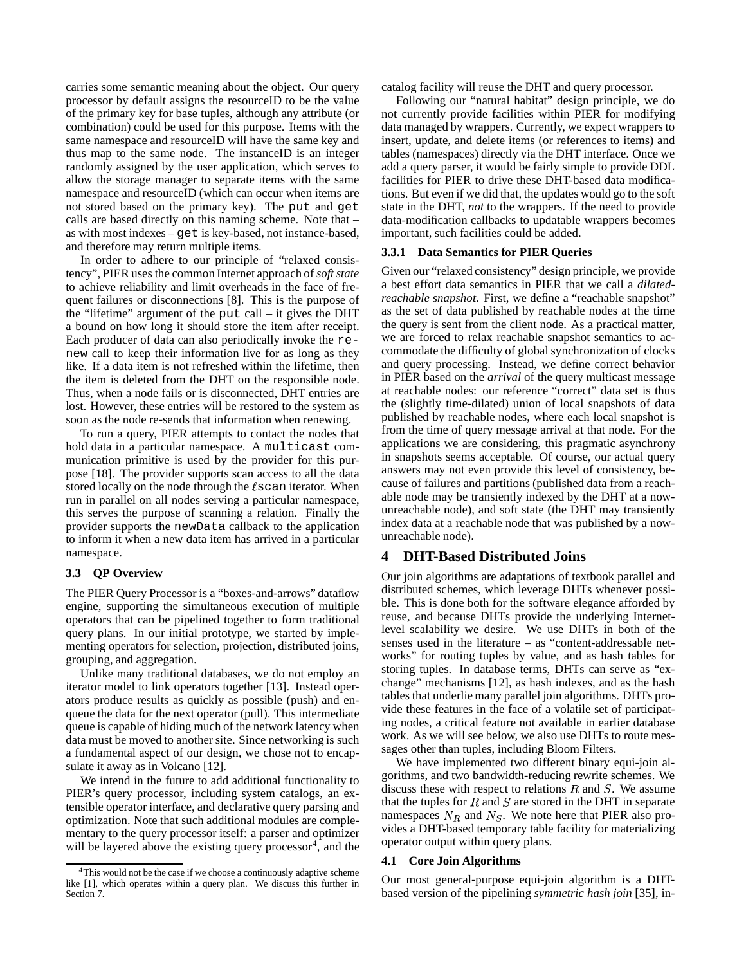carries some semantic meaning about the object. Our query processor by default assigns the resourceID to be the value of the primary key for base tuples, although any attribute (or combination) could be used for this purpose. Items with the same namespace and resourceID will have the same key and thus map to the same node. The instanceID is an integer randomly assigned by the user application, which serves to allow the storage manager to separate items with the same namespace and resourceID (which can occur when items are not stored based on the primary key). The put and get calls are based directly on this naming scheme. Note that – as with most indexes – get is key-based, not instance-based, and therefore may return multiple items.

In order to adhere to our principle of "relaxed consistency", PIER uses the common Internet approach of *soft state* to achieve reliability and limit overheads in the face of frequent failures or disconnections [8]. This is the purpose of the "lifetime" argument of the put call – it gives the DHT a bound on how long it should store the item after receipt. Each producer of data can also periodically invoke the renew call to keep their information live for as long as they like. If a data item is not refreshed within the lifetime, then the item is deleted from the DHT on the responsible node. Thus, when a node fails or is disconnected, DHT entries are lost. However, these entries will be restored to the system as soon as the node re-sends that information when renewing.

To run a query, PIER attempts to contact the nodes that hold data in a particular namespace. A multicast communication primitive is used by the provider for this purpose [18]. The provider supports scan access to all the data stored locally on the node through the  $\ell$ scan iterator. When run in parallel on all nodes serving a particular namespace, this serves the purpose of scanning a relation. Finally the provider supports the newData callback to the application to inform it when a new data item has arrived in a particular namespace.

### **3.3 QP Overview**

The PIER Query Processor is a "boxes-and-arrows" dataflow engine, supporting the simultaneous execution of multiple operators that can be pipelined together to form traditional query plans. In our initial prototype, we started by implementing operators for selection, projection, distributed joins, grouping, and aggregation.

Unlike many traditional databases, we do not employ an iterator model to link operators together [13]. Instead operators produce results as quickly as possible (push) and enqueue the data for the next operator (pull). This intermediate queue is capable of hiding much of the network latency when data must be moved to another site. Since networking is such a fundamental aspect of our design, we chose not to encapsulate it away as in Volcano [12].

We intend in the future to add additional functionality to PIER's query processor, including system catalogs, an extensible operator interface, and declarative query parsing and optimization. Note that such additional modules are complementary to the query processor itself: a parser and optimizer will be layered above the existing query processor $4$ , and the

catalog facility will reuse the DHT and query processor.

Following our "natural habitat" design principle, we do not currently provide facilities within PIER for modifying data managed by wrappers. Currently, we expect wrappers to insert, update, and delete items (or references to items) and tables (namespaces) directly via the DHT interface. Once we add a query parser, it would be fairly simple to provide DDL facilities for PIER to drive these DHT-based data modifications. But even if we did that, the updates would go to the soft state in the DHT, *not* to the wrappers. If the need to provide data-modification callbacks to updatable wrappers becomes important, such facilities could be added.

#### **3.3.1 Data Semantics for PIER Queries**

Given our "relaxed consistency" design principle, we provide a best effort data semantics in PIER that we call a *dilatedreachable snapshot*. First, we define a "reachable snapshot" as the set of data published by reachable nodes at the time the query is sent from the client node. As a practical matter, we are forced to relax reachable snapshot semantics to accommodate the difficulty of global synchronization of clocks and query processing. Instead, we define correct behavior in PIER based on the *arrival* of the query multicast message at reachable nodes: our reference "correct" data set is thus the (slightly time-dilated) union of local snapshots of data published by reachable nodes, where each local snapshot is from the time of query message arrival at that node. For the applications we are considering, this pragmatic asynchrony in snapshots seems acceptable. Of course, our actual query answers may not even provide this level of consistency, because of failures and partitions (published data from a reachable node may be transiently indexed by the DHT at a nowunreachable node), and soft state (the DHT may transiently index data at a reachable node that was published by a nowunreachable node).

# **4 DHT-Based Distributed Joins**

Our join algorithms are adaptations of textbook parallel and distributed schemes, which leverage DHTs whenever possible. This is done both for the software elegance afforded by reuse, and because DHTs provide the underlying Internetlevel scalability we desire. We use DHTs in both of the senses used in the literature – as "content-addressable networks" for routing tuples by value, and as hash tables for storing tuples. In database terms, DHTs can serve as "exchange" mechanisms [12], as hash indexes, and as the hash tables that underlie many parallel join algorithms. DHTs provide these features in the face of a volatile set of participating nodes, a critical feature not available in earlier database work. As we will see below, we also use DHTs to route messages other than tuples, including Bloom Filters.

We have implemented two different binary equi-join algorithms, and two bandwidth-reducing rewrite schemes. We discuss these with respect to relations  $R$  and  $S$ . We assume that the tuples for  $R$  and  $S$  are stored in the DHT in separate namespaces  $N_R$  and  $N_S$ . We note here that PIER also provides a DHT-based temporary table facility for materializing operator output within query plans.

#### **4.1 Core Join Algorithms**

Our most general-purpose equi-join algorithm is a DHTbased version of the pipelining *symmetric hash join* [35], in-

<sup>&</sup>lt;sup>4</sup>This would not be the case if we choose a continuously adaptive scheme like [1], which operates within a query plan. We discuss this further in Section 7.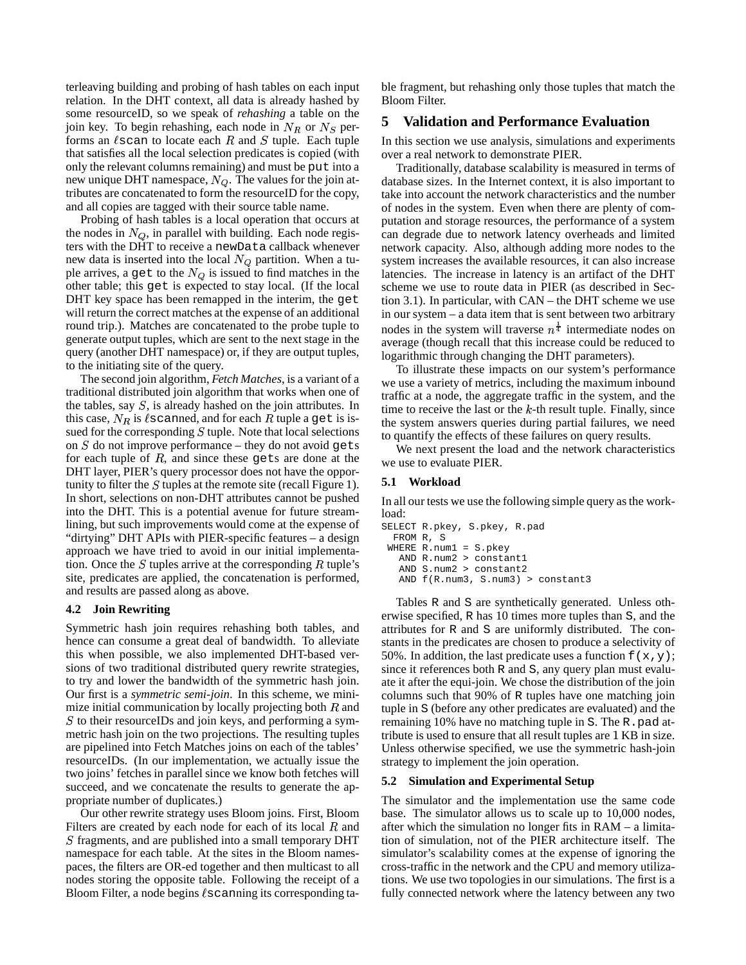terleaving building and probing of hash tables on each input relation. In the DHT context, all data is already hashed by some resourceID, so we speak of *rehashing* a table on the join key. To begin rehashing, each node in  $N_R$  or  $N_S$  performs an  $\ell$  scan to locate each R and S tuple. Each tuple that satisfies all the local selection predicates is copied (with only the relevant columns remaining) and must be put into a new unique DHT namespace,  $N_Q$ . The values for the join attributes are concatenated to form the resourceID for the copy, and all copies are tagged with their source table name.

Probing of hash tables is a local operation that occurs at the nodes in  $N_Q$ , in parallel with building. Each node registers with the DHT to receive a newData callback whenever new data is inserted into the local  $N_Q$  partition. When a tuple arrives, a get to the  $N_Q$  is issued to find matches in the other table; this get is expected to stay local. (If the local DHT key space has been remapped in the interim, the get will return the correct matches at the expense of an additional round trip.). Matches are concatenated to the probe tuple to generate output tuples, which are sent to the next stage in the query (another DHT namespace) or, if they are output tuples, to the initiating site of the query.

The second join algorithm, *Fetch Matches*, is a variant of a traditional distributed join algorithm that works when one of the tables, say  $S$ , is already hashed on the join attributes. In this case,  $N_R$  is  $\ell$  scanned, and for each  $R$  tuple a get is issued for the corresponding  $S$  tuple. Note that local selections on  $S$  do not improve performance – they do not avoid gets for each tuple of  $R$ , and since these gets are done at the DHT layer, PIER's query processor does not have the opportunity to filter the  $S$  tuples at the remote site (recall Figure 1). In short, selections on non-DHT attributes cannot be pushed into the DHT. This is a potential avenue for future streamlining, but such improvements would come at the expense of "dirtying" DHT APIs with PIER-specific features – a design approach we have tried to avoid in our initial implementation. Once the S tuples arrive at the corresponding R tuple's  $\frac{1}{\lambda}$ site, predicates are applied, the concatenation is performed, and results are passed along as above.

### **4.2 Join Rewriting**

Symmetric hash join requires rehashing both tables, and hence can consume a great deal of bandwidth. To alleviate this when possible, we also implemented DHT-based versions of two traditional distributed query rewrite strategies, to try and lower the bandwidth of the symmetric hash join. Our first is a *symmetric semi-join*. In this scheme, we minimize initial communication by locally projecting both  $R$  and S to their resourceIDs and join keys, and performing a symmetric hash join on the two projections. The resulting tuples are pipelined into Fetch Matches joins on each of the tables' resourceIDs. (In our implementation, we actually issue the two joins' fetches in parallel since we know both fetches will succeed, and we concatenate the results to generate the appropriate number of duplicates.)

Our other rewrite strategy uses Bloom joins. First, Bloom Filters are created by each node for each of its local  $R$  and S fragments, and are published into a small temporary DHT namespace for each table. At the sites in the Bloom namespaces, the filters are OR-ed together and then multicast to all nodes storing the opposite table. Following the receipt of a Bloom Filter, a node begins  $\ell$  scanning its corresponding table fragment, but rehashing only those tuples that match the Bloom Filter.

# **5 Validation and Performance Evaluation**

In this section we use analysis, simulations and experiments over a real network to demonstrate PIER.

Traditionally, database scalability is measured in terms of database sizes. In the Internet context, it is also important to take into account the network characteristics and the number of nodes in the system. Even when there are plenty of computation and storage resources, the performance of a system can degrade due to network latency overheads and limited network capacity. Also, although adding more nodes to the system increases the available resources, it can also increase latencies. The increase in latency is an artifact of the DHT scheme we use to route data in PIER (as described in Section 3.1). In particular, with CAN – the DHT scheme we use in our system – a data item that is sent between two arbitrary nodes in the system will traverse  $n^{\frac{1}{4}}$  intermediate nodes on average (though recall that this increase could be reduced to logarithmic through changing the DHT parameters).

To illustrate these impacts on our system's performance we use a variety of metrics, including the maximum inbound traffic at a node, the aggregate traffic in the system, and the time to receive the last or the  $k$ -th result tuple. Finally, since the system answers queries during partial failures, we need to quantify the effects of these failures on query results.

We next present the load and the network characteristics we use to evaluate PIER.

# **5.1 Workload**

In all our tests we use the following simple query as the workload:

```
SELECT R.pkey, S.pkey, R.pad
 FROM R, S
 WHERE R.num1 = S.pkey
  AND R.num2 > constant1
   AND S.num2 > constant2
   AND f(R.num3, S.num3) > constant3
```
Tables R and S are synthetically generated. Unless otherwise specified, R has 10 times more tuples than S, and the attributes for R and S are uniformly distributed. The constants in the predicates are chosen to produce a selectivity of 50%. In addition, the last predicate uses a function  $f(x, y)$ ; since it references both R and S, any query plan must evaluate it after the equi-join. We chose the distribution of the join columns such that 90% of R tuples have one matching join tuple in S (before any other predicates are evaluated) and the remaining 10% have no matching tuple in S. The R.pad attribute is used to ensure that all result tuples are 1 KB in size. Unless otherwise specified, we use the symmetric hash-join strategy to implement the join operation.

### **5.2 Simulation and Experimental Setup**

The simulator and the implementation use the same code base. The simulator allows us to scale up to 10,000 nodes, after which the simulation no longer fits in RAM – a limitation of simulation, not of the PIER architecture itself. The simulator's scalability comes at the expense of ignoring the cross-traffic in the network and the CPU and memory utilizations. We use two topologies in our simulations. The first is a fully connected network where the latency between any two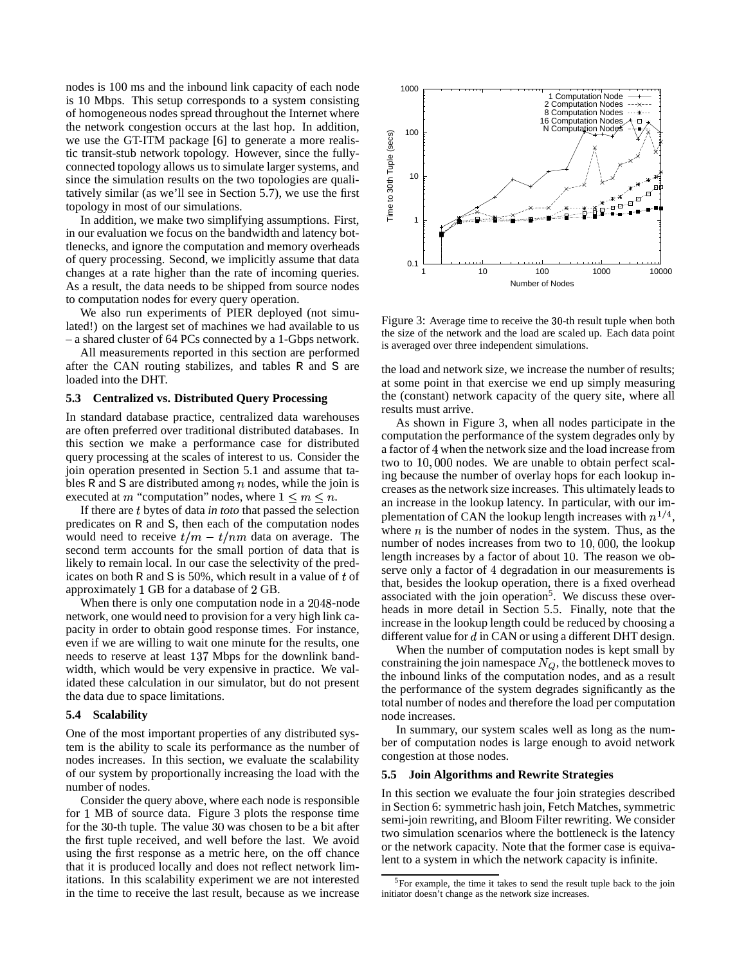nodes is 100 ms and the inbound link capacity of each node is 10 Mbps. This setup corresponds to a system consisting of homogeneous nodes spread throughout the Internet where the network congestion occurs at the last hop. In addition, we use the GT-ITM package [6] to generate a more realistic transit-stub network topology. However, since the fullyconnected topology allows us to simulate larger systems, and since the simulation results on the two topologies are qualitatively similar (as we'll see in Section 5.7), we use the first topology in most of our simulations.

In addition, we make two simplifying assumptions. First, in our evaluation we focus on the bandwidth and latency bottlenecks, and ignore the computation and memory overheads of query processing. Second, we implicitly assume that data changes at a rate higher than the rate of incoming queries. As a result, the data needs to be shipped from source nodes to computation nodes for every query operation.

We also run experiments of PIER deployed (not simulated!) on the largest set of machines we had available to us – a shared cluster of 64 PCs connected by a 1-Gbps network.

All measurements reported in this section are performed after the CAN routing stabilizes, and tables R and S are loaded into the DHT.

#### **5.3 Centralized vs. Distributed Query Processing**

In standard database practice, centralized data warehouses are often preferred over traditional distributed databases. In this section we make a performance case for distributed query processing at the scales of interest to us. Consider the join operation presented in Section 5.1 and assume that tables R and S are distributed among  $n$  nodes, while the join is executed at m "computation" nodes, where  $1 \le m \le n$ .

If there are t bytes of data in toto that passed the selection predicates on R and S, then each of the computation nodes would need to receive  $t/m - t/nm$  data on average. The second term accounts for the small portion of data that is likely to remain local. In our case the selectivity of the predicates on both R and S is 50%, which result in a value of  $t$  of approximately  $1$  GB for a database of  $2$  GB.

When there is only one computation node in a 2048-node network, one would need to provision for a very high link capacity in order to obtain good response times. For instance, even if we are willing to wait one minute for the results, one needs to reserve at least 137 Mbps for the downlink bandwidth, which would be very expensive in practice. We validated these calculation in our simulator, but do not present the data due to space limitations.

### **5.4 Scalability**

One of the most important properties of any distributed system is the ability to scale its performance as the number of nodes increases. In this section, we evaluate the scalability of our system by proportionally increasing the load with the number of nodes.

Consider the query above, where each node is responsible for 1 MB of source data. Figure 3 plots the response time for the 30-th tuple. The value 30 was chosen to be a bit after the first tuple received, and well before the last. We avoid using the first response as a metric here, on the off chance that it is produced locally and does not reflect network limitations. In this scalability experiment we are not interested in the time to receive the last result, because as we increase



Figure 3: Average time to receive the 30-th result tuple when both the size of the network and the load are scaled up. Each data point is averaged over three independent simulations.

the load and network size, we increase the number of results; at some point in that exercise we end up simply measuring the (constant) network capacity of the query site, where all results must arrive.

As shown in Figure 3, when all nodes participate in the computation the performance of the system degrades only by a factor of 4 when the network size and the load increase from two to 10,000 nodes. We are unable to obtain perfect scaling because the number of overlay hops for each lookup increases as the network size increases. This ultimately leads to an increase in the lookup latency. In particular, with our implementation of CAN the lookup length increases with  $n^{1/4}$ , where  $n$  is the number of nodes in the system. Thus, as the number of nodes increases from two to  $10,000$ , the lookup length increases by a factor of about 10. The reason we observe only a factor of 4 degradation in our measurements is that, besides the lookup operation, there is a fixed overhead associated with the join operation<sup>5</sup>. We discuss these overheads in more detail in Section 5.5. Finally, note that the increase in the lookup length could be reduced by choosing a different value for  $d$  in CAN or using a different DHT design.

When the number of computation nodes is kept small by constraining the join namespace  $N_Q$ , the bottleneck moves to the inbound links of the computation nodes, and as a result the performance of the system degrades significantly as the total number of nodes and therefore the load per computation node increases.

In summary, our system scales well as long as the number of computation nodes is large enough to avoid network congestion at those nodes.

#### **5.5 Join Algorithms and Rewrite Strategies**

In this section we evaluate the four join strategies described in Section 6: symmetric hash join, Fetch Matches, symmetric semi-join rewriting, and Bloom Filter rewriting. We consider two simulation scenarios where the bottleneck is the latency or the network capacity. Note that the former case is equivalent to a system in which the network capacity is infinite.

<sup>&</sup>lt;sup>5</sup>For example, the time it takes to send the result tuple back to the join initiator doesn't change as the network size increases.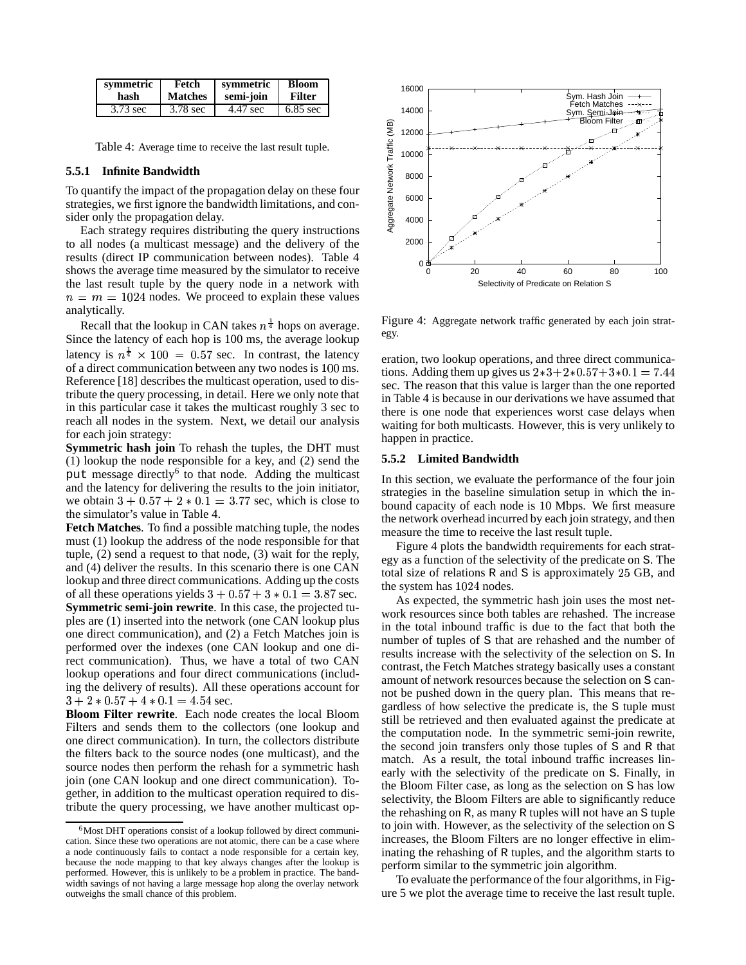| symmetric | Fetch          | symmetric | <b>Bloom</b>       |
|-----------|----------------|-----------|--------------------|
| hash      | <b>Matches</b> | semi-join | <b>Filter</b>      |
| 3.73 sec  | 3.78 sec       | 4.47 sec  | $6.85 \text{ sec}$ |

Table 4: Average time to receive the last result tuple.

#### **5.5.1 Infinite Bandwidth**

To quantify the impact of the propagation delay on these four strategies, we first ignore the bandwidth limitations, and consider only the propagation delay.

Each strategy requires distributing the query instructions to all nodes (a multicast message) and the delivery of the results (direct IP communication between nodes). Table 4 shows the average time measured by the simulator to receive the last result tuple by the query node in a network with  $n = m = 1024$  nodes. We proceed to explain these values analytically.

Recall that the lookup in CAN takes  $n^{\frac{1}{4}}$  hops on average. Since the latency of each hop is 100 ms, the average lookup latency is  $n^{\frac{1}{4}} \times 100 = 0.57$  sec. In contrast, the latency of a direct communication between any two nodes is  $100 \text{ ms.}$ Reference [18] describes the multicast operation, used to distribute the query processing, in detail. Here we only note that in this particular case it takes the multicast roughly 3 sec to reach all nodes in the system. Next, we detail our analysis for each join strategy:

**Symmetric hash join** To rehash the tuples, the DHT must (1) lookup the node responsible for a key, and (2) send the put message directly<sup>6</sup> to that node. Adding the multicast and the latency for delivering the results to the join initiator, we obtain  $3 + 0.57 + 2 * 0.1 = 3.77$  sec, which is close to the simulator's value in Table 4.

**Fetch Matches**. To find a possible matching tuple, the nodes must (1) lookup the address of the node responsible for that tuple, (2) send a request to that node, (3) wait for the reply, and (4) deliver the results. In this scenario there is one CAN lookup and three direct communications. Adding up the costs of all these operations yields  $3 + 0.57 + 3 * 0.1 = 3.87$  sec.

**Symmetric semi-join rewrite**. In this case, the projected tuples are (1) inserted into the network (one CAN lookup plus one direct communication), and (2) a Fetch Matches join is performed over the indexes (one CAN lookup and one direct communication). Thus, we have a total of two CAN lookup operations and four direct communications (including the delivery of results). All these operations account for  $3 + 2 * 0.57 + 4 * 0.1 = 4.54$  sec.

**Bloom Filter rewrite**. Each node creates the local Bloom Filters and sends them to the collectors (one lookup and one direct communication). In turn, the collectors distribute the filters back to the source nodes (one multicast), and the source nodes then perform the rehash for a symmetric hash join (one CAN lookup and one direct communication). Together, in addition to the multicast operation required to distribute the query processing, we have another multicast op-



Figure 4: Aggregate network traffic generated by each join strategy.

eration, two lookup operations, and three direct communications. Adding them up gives us  $2*3+2*0.57+3*0.1 = 7.44$ sec. The reason that this value is larger than the one reported in Table 4 is because in our derivations we have assumed that there is one node that experiences worst case delays when waiting for both multicasts. However, this is very unlikely to happen in practice.

### **5.5.2 Limited Bandwidth**

In this section, we evaluate the performance of the four join strategies in the baseline simulation setup in which the inbound capacity of each node is 10 Mbps. We first measure the network overhead incurred by each join strategy, and then measure the time to receive the last result tuple.

Figure 4 plots the bandwidth requirements for each strategy as a function of the selectivity of the predicate on S. The total size of relations  $R$  and  $S$  is approximately 25 GB, and the system has 1024 nodes.

As expected, the symmetric hash join uses the most network resources since both tables are rehashed. The increase in the total inbound traffic is due to the fact that both the number of tuples of S that are rehashed and the number of results increase with the selectivity of the selection on S. In contrast, the Fetch Matches strategy basically uses a constant amount of network resources because the selection on S cannot be pushed down in the query plan. This means that regardless of how selective the predicate is, the S tuple must still be retrieved and then evaluated against the predicate at the computation node. In the symmetric semi-join rewrite, the second join transfers only those tuples of S and R that match. As a result, the total inbound traffic increases linearly with the selectivity of the predicate on S. Finally, in the Bloom Filter case, as long as the selection on S has low selectivity, the Bloom Filters are able to significantly reduce the rehashing on R, as many R tuples will not have an S tuple to join with. However, as the selectivity of the selection on S increases, the Bloom Filters are no longer effective in eliminating the rehashing of R tuples, and the algorithm starts to perform similar to the symmetric join algorithm.

To evaluate the performance of the four algorithms, in Figure 5 we plot the average time to receive the last result tuple.

 $6M$ ost DHT operations consist of a lookup followed by direct communication. Since these two operations are not atomic, there can be a case where a node continuously fails to contact a node responsible for a certain key, because the node mapping to that key always changes after the lookup is performed. However, this is unlikely to be a problem in practice. The bandwidth savings of not having a large message hop along the overlay network outweighs the small chance of this problem.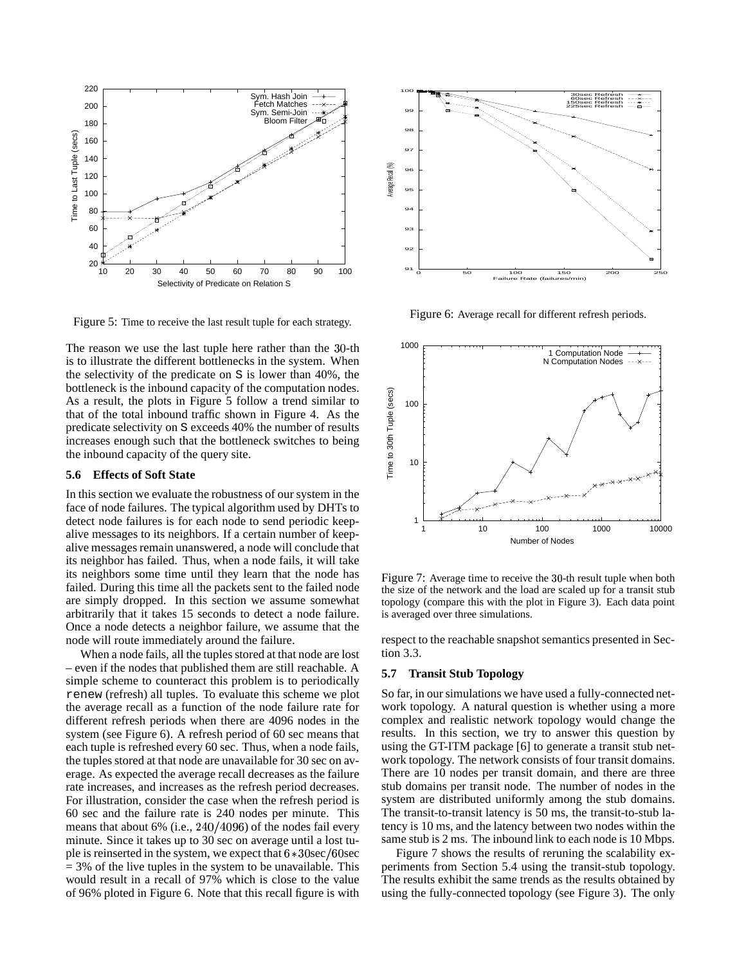

Figure 5: Time to receive the last result tuple for each strategy.

The reason we use the last tuple here rather than the 30-th is to illustrate the different bottlenecks in the system. When the selectivity of the predicate on S is lower than 40%, the bottleneck is the inbound capacity of the computation nodes. As a result, the plots in Figure 5 follow a trend similar to that of the total inbound traffic shown in Figure 4. As the predicate selectivity on S exceeds 40% the number of results increases enough such that the bottleneck switches to being the inbound capacity of the query site.

### **5.6 Effects of Soft State**

In this section we evaluate the robustness of our system in the face of node failures. The typical algorithm used by DHTs to detect node failures is for each node to send periodic keepalive messages to its neighbors. If a certain number of keepalive messages remain unanswered, a node will conclude that its neighbor has failed. Thus, when a node fails, it will take its neighbors some time until they learn that the node has failed. During this time all the packets sent to the failed node are simply dropped. In this section we assume somewhat arbitrarily that it takes 15 seconds to detect a node failure. Once a node detects a neighbor failure, we assume that the node will route immediately around the failure.

When a node fails, all the tuples stored at that node are lost – even if the nodes that published them are still reachable. A simple scheme to counteract this problem is to periodically renew (refresh) all tuples. To evaluate this scheme we plot the average recall as a function of the node failure rate for different refresh periods when there are 4096 nodes in the system (see Figure 6). A refresh period of 60 sec means that each tuple is refreshed every 60 sec. Thus, when a node fails, the tuples stored at that node are unavailable for 30 sec on average. As expected the average recall decreases as the failure rate increases, and increases as the refresh period decreases. For illustration, consider the case when the refresh period is 60 sec and the failure rate is 240 nodes per minute. This means that about  $6\%$  (i.e.,  $240/4096$ ) of the nodes fail every minute. Since it takes up to 30 sec on average until a lost tuple is reinserted in the system, we expect that  $6*30\mathrm{sec}/60\mathrm{sec}$  $=$  3% of the live tuples in the system to be unavailable. This would result in a recall of 97% which is close to the value of 96% ploted in Figure 6. Note that this recall figure is with



Figure 6: Average recall for different refresh periods.



Figure 7: Average time to receive the 30-th result tuple when both the size of the network and the load are scaled up for a transit stub topology (compare this with the plot in Figure 3). Each data point is averaged over three simulations.

respect to the reachable snapshot semantics presented in Section 3.3.

### **5.7 Transit Stub Topology**

So far, in our simulations we have used a fully-connected network topology. A natural question is whether using a more complex and realistic network topology would change the results. In this section, we try to answer this question by using the GT-ITM package [6] to generate a transit stub network topology. The network consists of four transit domains. There are 10 nodes per transit domain, and there are three stub domains per transit node. The number of nodes in the system are distributed uniformly among the stub domains. The transit-to-transit latency is 50 ms, the transit-to-stub latency is 10 ms, and the latency between two nodes within the same stub is 2 ms. The inbound link to each node is 10 Mbps.

Figure 7 shows the results of reruning the scalability experiments from Section 5.4 using the transit-stub topology. The results exhibit the same trends as the results obtained by using the fully-connected topology (see Figure 3). The only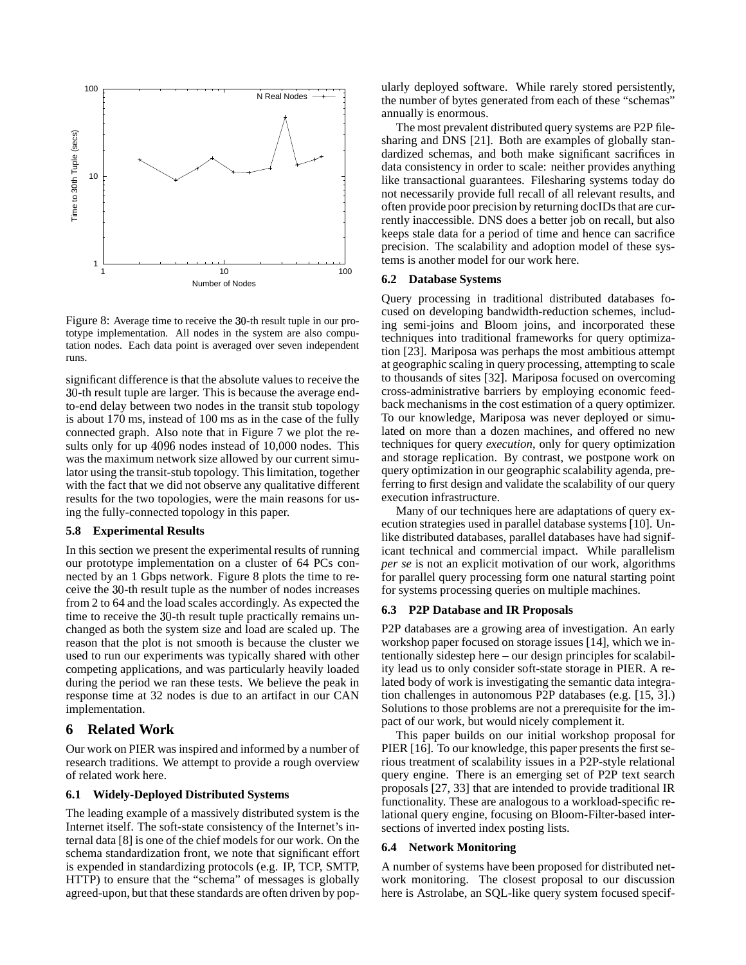

Figure 8: Average time to receive the 30-th result tuple in our prototype implementation. All nodes in the system are also computation nodes. Each data point is averaged over seven independent runs.

significant difference is that the absolute values to receive the 30-th result tuple are larger. This is because the average endto-end delay between two nodes in the transit stub topology is about 170 ms, instead of 100 ms as in the case of the fully connected graph. Also note that in Figure 7 we plot the results only for up 4096 nodes instead of 10,000 nodes. This was the maximum network size allowed by our current simulator using the transit-stub topology. This limitation, together with the fact that we did not observe any qualitative different results for the two topologies, were the main reasons for using the fully-connected topology in this paper.

### **5.8 Experimental Results**

In this section we present the experimental results of running our prototype implementation on a cluster of 64 PCs connected by an 1 Gbps network. Figure 8 plots the time to receive the 30-th result tuple as the number of nodes increases from 2 to 64 and the load scales accordingly. As expected the time to receive the 30-th result tuple practically remains unchanged as both the system size and load are scaled up. The reason that the plot is not smooth is because the cluster we used to run our experiments was typically shared with other competing applications, and was particularly heavily loaded during the period we ran these tests. We believe the peak in response time at 32 nodes is due to an artifact in our CAN implementation.

# **6 Related Work**

Our work on PIER was inspired and informed by a number of research traditions. We attempt to provide a rough overview of related work here.

#### **6.1 Widely-Deployed Distributed Systems**

The leading example of a massively distributed system is the Internet itself. The soft-state consistency of the Internet's internal data [8] is one of the chief models for our work. On the schema standardization front, we note that significant effort is expended in standardizing protocols (e.g. IP, TCP, SMTP, HTTP) to ensure that the "schema" of messages is globally agreed-upon, but that these standards are often driven by popularly deployed software. While rarely stored persistently, the number of bytes generated from each of these "schemas" annually is enormous.

The most prevalent distributed query systems are P2P filesharing and DNS [21]. Both are examples of globally standardized schemas, and both make significant sacrifices in data consistency in order to scale: neither provides anything like transactional guarantees. Filesharing systems today do not necessarily provide full recall of all relevant results, and often provide poor precision by returning docIDs that are currently inaccessible. DNS does a better job on recall, but also keeps stale data for a period of time and hence can sacrifice precision. The scalability and adoption model of these systems is another model for our work here.

## **6.2 Database Systems**

Query processing in traditional distributed databases focused on developing bandwidth-reduction schemes, including semi-joins and Bloom joins, and incorporated these techniques into traditional frameworks for query optimization [23]. Mariposa was perhaps the most ambitious attempt at geographic scaling in query processing, attempting to scale to thousands of sites [32]. Mariposa focused on overcoming cross-administrative barriers by employing economic feedback mechanisms in the cost estimation of a query optimizer. To our knowledge, Mariposa was never deployed or simulated on more than a dozen machines, and offered no new techniques for query *execution*, only for query optimization and storage replication. By contrast, we postpone work on query optimization in our geographic scalability agenda, preferring to first design and validate the scalability of our query execution infrastructure.

Many of our techniques here are adaptations of query execution strategies used in parallel database systems [10]. Unlike distributed databases, parallel databases have had significant technical and commercial impact. While parallelism *per se* is not an explicit motivation of our work, algorithms for parallel query processing form one natural starting point for systems processing queries on multiple machines.

### **6.3 P2P Database and IR Proposals**

P2P databases are a growing area of investigation. An early workshop paper focused on storage issues [14], which we intentionally sidestep here – our design principles for scalability lead us to only consider soft-state storage in PIER. A related body of work is investigating the semantic data integration challenges in autonomous P2P databases (e.g. [15, 3].) Solutions to those problems are not a prerequisite for the impact of our work, but would nicely complement it.

This paper builds on our initial workshop proposal for PIER [16]. To our knowledge, this paper presents the first serious treatment of scalability issues in a P2P-style relational query engine. There is an emerging set of P2P text search proposals [27, 33] that are intended to provide traditional IR functionality. These are analogous to a workload-specific relational query engine, focusing on Bloom-Filter-based intersections of inverted index posting lists.

### **6.4 Network Monitoring**

A number of systems have been proposed for distributed network monitoring. The closest proposal to our discussion here is Astrolabe, an SQL-like query system focused specif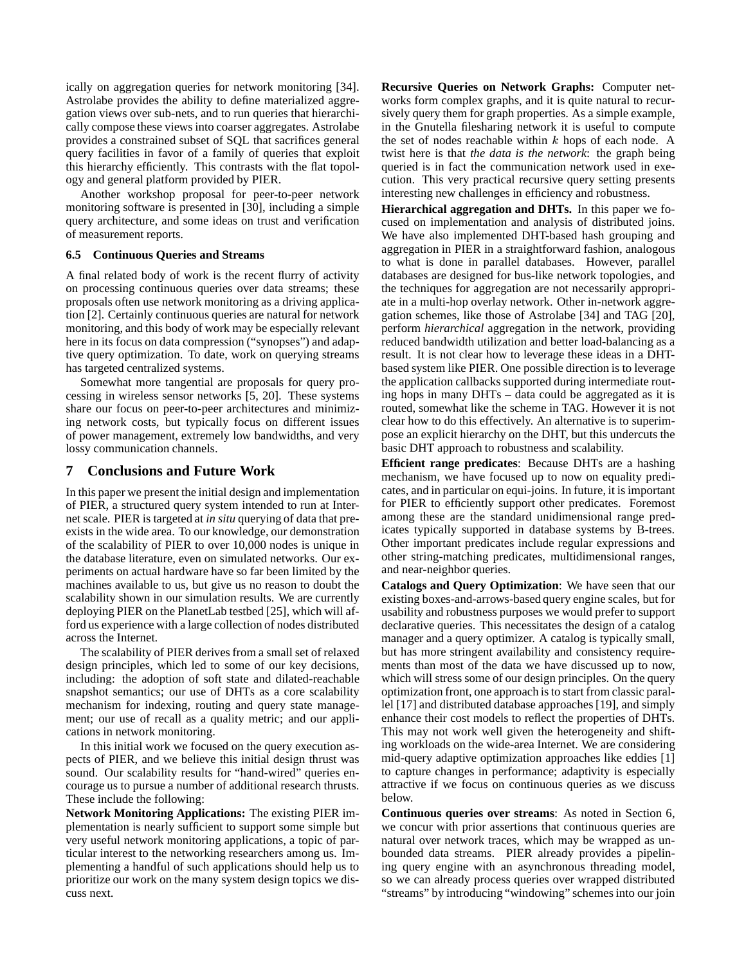ically on aggregation queries for network monitoring [34]. Astrolabe provides the ability to define materialized aggregation views over sub-nets, and to run queries that hierarchically compose these views into coarser aggregates. Astrolabe provides a constrained subset of SQL that sacrifices general query facilities in favor of a family of queries that exploit this hierarchy efficiently. This contrasts with the flat topology and general platform provided by PIER.

Another workshop proposal for peer-to-peer network monitoring software is presented in [30], including a simple query architecture, and some ideas on trust and verification of measurement reports.

### **6.5 Continuous Queries and Streams**

A final related body of work is the recent flurry of activity on processing continuous queries over data streams; these proposals often use network monitoring as a driving application [2]. Certainly continuous queries are natural for network monitoring, and this body of work may be especially relevant here in its focus on data compression ("synopses") and adaptive query optimization. To date, work on querying streams has targeted centralized systems.

Somewhat more tangential are proposals for query processing in wireless sensor networks [5, 20]. These systems share our focus on peer-to-peer architectures and minimizing network costs, but typically focus on different issues of power management, extremely low bandwidths, and very lossy communication channels.

# **7 Conclusions and Future Work**

In this paper we present the initial design and implementation of PIER, a structured query system intended to run at Internet scale. PIER is targeted at *in situ* querying of data that preexists in the wide area. To our knowledge, our demonstration of the scalability of PIER to over 10,000 nodes is unique in the database literature, even on simulated networks. Our experiments on actual hardware have so far been limited by the machines available to us, but give us no reason to doubt the scalability shown in our simulation results. We are currently deploying PIER on the PlanetLab testbed [25], which will afford us experience with a large collection of nodes distributed across the Internet.

The scalability of PIER derives from a small set of relaxed design principles, which led to some of our key decisions, including: the adoption of soft state and dilated-reachable snapshot semantics; our use of DHTs as a core scalability mechanism for indexing, routing and query state management; our use of recall as a quality metric; and our applications in network monitoring.

In this initial work we focused on the query execution aspects of PIER, and we believe this initial design thrust was sound. Our scalability results for "hand-wired" queries encourage us to pursue a number of additional research thrusts. These include the following:

**Network Monitoring Applications:** The existing PIER implementation is nearly sufficient to support some simple but very useful network monitoring applications, a topic of particular interest to the networking researchers among us. Implementing a handful of such applications should help us to prioritize our work on the many system design topics we discuss next.

**Recursive Queries on Network Graphs:** Computer networks form complex graphs, and it is quite natural to recursively query them for graph properties. As a simple example, in the Gnutella filesharing network it is useful to compute the set of nodes reachable within  $k$  hops of each node. A twist here is that *the data is the network*: the graph being queried is in fact the communication network used in execution. This very practical recursive query setting presents interesting new challenges in efficiency and robustness.

**Hierarchical aggregation and DHTs.** In this paper we focused on implementation and analysis of distributed joins. We have also implemented DHT-based hash grouping and aggregation in PIER in a straightforward fashion, analogous to what is done in parallel databases. However, parallel databases are designed for bus-like network topologies, and the techniques for aggregation are not necessarily appropriate in a multi-hop overlay network. Other in-network aggregation schemes, like those of Astrolabe [34] and TAG [20], perform *hierarchical* aggregation in the network, providing reduced bandwidth utilization and better load-balancing as a result. It is not clear how to leverage these ideas in a DHTbased system like PIER. One possible direction is to leverage the application callbacks supported during intermediate routing hops in many DHTs – data could be aggregated as it is routed, somewhat like the scheme in TAG. However it is not clear how to do this effectively. An alternative is to superimpose an explicit hierarchy on the DHT, but this undercuts the basic DHT approach to robustness and scalability.

**Efficient range predicates**: Because DHTs are a hashing mechanism, we have focused up to now on equality predicates, and in particular on equi-joins. In future, it is important for PIER to efficiently support other predicates. Foremost among these are the standard unidimensional range predicates typically supported in database systems by B-trees. Other important predicates include regular expressions and other string-matching predicates, multidimensional ranges, and near-neighbor queries.

**Catalogs and Query Optimization**: We have seen that our existing boxes-and-arrows-based query engine scales, but for usability and robustness purposes we would prefer to support declarative queries. This necessitates the design of a catalog manager and a query optimizer. A catalog is typically small, but has more stringent availability and consistency requirements than most of the data we have discussed up to now, which will stress some of our design principles. On the query optimization front, one approach is to start from classic parallel [17] and distributed database approaches [19], and simply enhance their cost models to reflect the properties of DHTs. This may not work well given the heterogeneity and shifting workloads on the wide-area Internet. We are considering mid-query adaptive optimization approaches like eddies [1] to capture changes in performance; adaptivity is especially attractive if we focus on continuous queries as we discuss below.

**Continuous queries over streams**: As noted in Section 6, we concur with prior assertions that continuous queries are natural over network traces, which may be wrapped as unbounded data streams. PIER already provides a pipelining query engine with an asynchronous threading model, so we can already process queries over wrapped distributed "streams" by introducing "windowing" schemes into our join